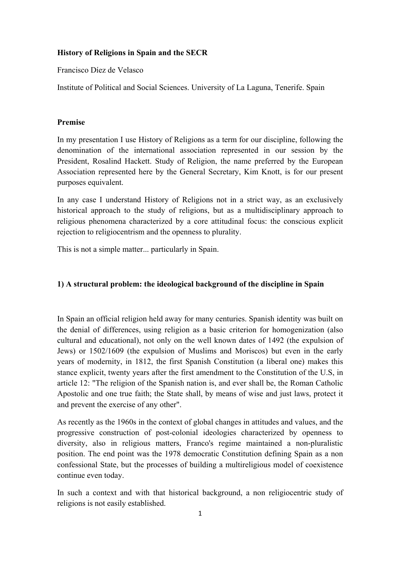## **History of Religions in Spain and the SECR**

Francisco Díez de Velasco

Institute of Political and Social Sciences. University of La Laguna, Tenerife. Spain

## **Premise**

In my presentation I use History of Religions as a term for our discipline, following the denomination of the international association represented in our session by the President, Rosalind Hackett. Study of Religion, the name preferred by the European Association represented here by the General Secretary, Kim Knott, is for our present purposes equivalent.

In any case I understand History of Religions not in a strict way, as an exclusively historical approach to the study of religions, but as a multidisciplinary approach to religious phenomena characterized by a core attitudinal focus: the conscious explicit rejection to religiocentrism and the openness to plurality.

This is not a simple matter... particularly in Spain.

# **1) A structural problem: the ideological background of the discipline in Spain**

In Spain an official religion held away for many centuries. Spanish identity was built on the denial of differences, using religion as a basic criterion for homogenization (also cultural and educational), not only on the well known dates of 1492 (the expulsion of Jews) or 1502/1609 (the expulsion of Muslims and Moriscos) but even in the early years of modernity, in 1812, the first Spanish Constitution (a liberal one) makes this stance explicit, twenty years after the first amendment to the Constitution of the U.S, in article 12: "The religion of the Spanish nation is, and ever shall be, the Roman Catholic Apostolic and one true faith; the State shall, by means of wise and just laws, protect it and prevent the exercise of any other".

As recently as the 1960s in the context of global changes in attitudes and values, and the progressive construction of post-colonial ideologies characterized by openness to diversity, also in religious matters, Franco's regime maintained a non-pluralistic position. The end point was the 1978 democratic Constitution defining Spain as a non confessional State, but the processes of building a multireligious model of coexistence continue even today.

In such a context and with that historical background, a non religiocentric study of religions is not easily established.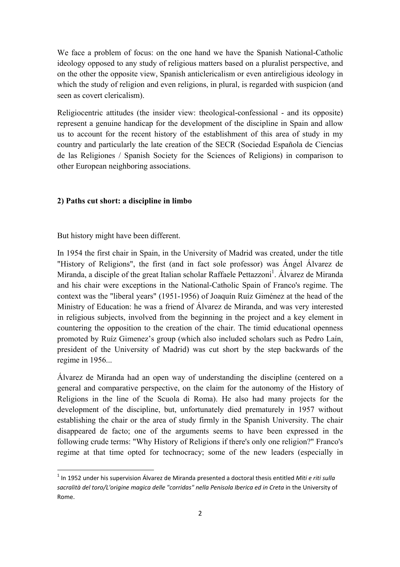We face a problem of focus: on the one hand we have the Spanish National-Catholic ideology opposed to any study of religious matters based on a pluralist perspective, and on the other the opposite view, Spanish anticlericalism or even antireligious ideology in which the study of religion and even religions, in plural, is regarded with suspicion (and seen as covert clericalism).

Religiocentric attitudes (the insider view: theological-confessional - and its opposite) represent a genuine handicap for the development of the discipline in Spain and allow us to account for the recent history of the establishment of this area of study in my country and particularly the late creation of the SECR (Sociedad Española de Ciencias de las Religiones / Spanish Society for the Sciences of Religions) in comparison to other European neighboring associations.

## **2) Paths cut short: a discipline in limbo**

But history might have been different.

 $\overline{a}$ 

In 1954 the first chair in Spain, in the University of Madrid was created, under the title "History of Religions", the first (and in fact sole professor) was Ángel Álvarez de Miranda, a disciple of the great Italian scholar Raffaele Pettazzoni<sup>1</sup>. Álvarez de Miranda and his chair were exceptions in the National-Catholic Spain of Franco's regime. The context was the "liberal years" (1951-1956) of Joaquín Ruíz Giménez at the head of the Ministry of Education: he was a friend of Álvarez de Miranda, and was very interested in religious subjects, involved from the beginning in the project and a key element in countering the opposition to the creation of the chair. The timid educational openness promoted by Ruíz Gimenez's group (which also included scholars such as Pedro Laín, president of the University of Madrid) was cut short by the step backwards of the regime in 1956...

Álvarez de Miranda had an open way of understanding the discipline (centered on a general and comparative perspective, on the claim for the autonomy of the History of Religions in the line of the Scuola di Roma). He also had many projects for the development of the discipline, but, unfortunately died prematurely in 1957 without establishing the chair or the area of study firmly in the Spanish University. The chair disappeared de facto; one of the arguments seems to have been expressed in the following crude terms: "Why History of Religions if there's only one religion?" Franco's regime at that time opted for technocracy; some of the new leaders (especially in

<sup>1</sup> In 1952 under his supervision Álvarez de Miranda presented a doctoral thesis entitled *Miti e riti sulla*  sacralità del toro/L'origine magica delle "corridas" nella Penisola Iberica ed in Creta in the University of Rome.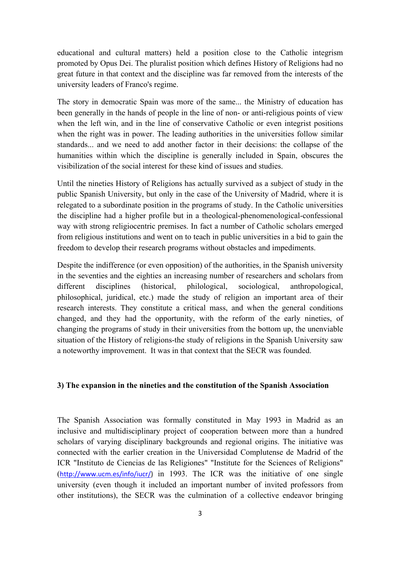educational and cultural matters) held a position close to the Catholic integrism promoted by Opus Dei. The pluralist position which defines History of Religions had no great future in that context and the discipline was far removed from the interests of the university leaders of Franco's regime.

The story in democratic Spain was more of the same... the Ministry of education has been generally in the hands of people in the line of non- or anti-religious points of view when the left win, and in the line of conservative Catholic or even integrist positions when the right was in power. The leading authorities in the universities follow similar standards... and we need to add another factor in their decisions: the collapse of the humanities within which the discipline is generally included in Spain, obscures the visibilization of the social interest for these kind of issues and studies.

Until the nineties History of Religions has actually survived as a subject of study in the public Spanish University, but only in the case of the University of Madrid, where it is relegated to a subordinate position in the programs of study. In the Catholic universities the discipline had a higher profile but in a theological-phenomenological-confessional way with strong religiocentric premises. In fact a number of Catholic scholars emerged from religious institutions and went on to teach in public universities in a bid to gain the freedom to develop their research programs without obstacles and impediments.

Despite the indifference (or even opposition) of the authorities, in the Spanish university in the seventies and the eighties an increasing number of researchers and scholars from different disciplines (historical, philological, sociological, anthropological, philosophical, juridical, etc.) made the study of religion an important area of their research interests. They constitute a critical mass, and when the general conditions changed, and they had the opportunity, with the reform of the early nineties, of changing the programs of study in their universities from the bottom up, the unenviable situation of the History of religions-the study of religions in the Spanish University saw a noteworthy improvement. It was in that context that the SECR was founded.

#### **3) The expansion in the nineties and the constitution of the Spanish Association**

The Spanish Association was formally constituted in May 1993 in Madrid as an inclusive and multidisciplinary project of cooperation between more than a hundred scholars of varying disciplinary backgrounds and regional origins. The initiative was connected with the earlier creation in the Universidad Complutense de Madrid of the ICR "Instituto de Ciencias de las Religiones" "Institute for the Sciences of Religions" (http://www.ucm.es/info/iucr/) in 1993. The ICR was the initiative of one single university (even though it included an important number of invited professors from other institutions), the SECR was the culmination of a collective endeavor bringing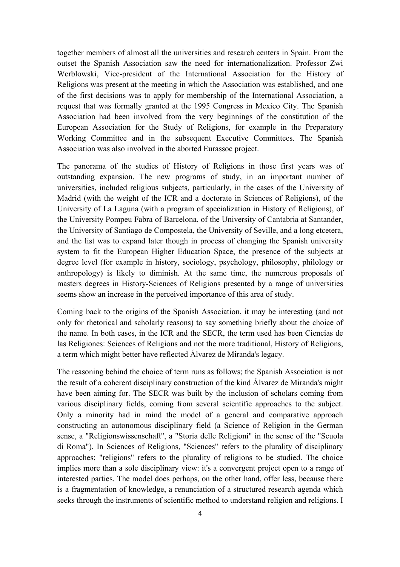together members of almost all the universities and research centers in Spain. From the outset the Spanish Association saw the need for internationalization. Professor Zwi Werblowski, Vice-president of the International Association for the History of Religions was present at the meeting in which the Association was established, and one of the first decisions was to apply for membership of the International Association, a request that was formally granted at the 1995 Congress in Mexico City. The Spanish Association had been involved from the very beginnings of the constitution of the European Association for the Study of Religions, for example in the Preparatory Working Committee and in the subsequent Executive Committees. The Spanish Association was also involved in the aborted Eurassoc project.

The panorama of the studies of History of Religions in those first years was of outstanding expansion. The new programs of study, in an important number of universities, included religious subjects, particularly, in the cases of the University of Madrid (with the weight of the ICR and a doctorate in Sciences of Religions), of the University of La Laguna (with a program of specialization in History of Religions), of the University Pompeu Fabra of Barcelona, of the University of Cantabria at Santander, the University of Santiago de Compostela, the University of Seville, and a long etcetera, and the list was to expand later though in process of changing the Spanish university system to fit the European Higher Education Space, the presence of the subjects at degree level (for example in history, sociology, psychology, philosophy, philology or anthropology) is likely to diminish. At the same time, the numerous proposals of masters degrees in History-Sciences of Religions presented by a range of universities seems show an increase in the perceived importance of this area of study.

Coming back to the origins of the Spanish Association, it may be interesting (and not only for rhetorical and scholarly reasons) to say something briefly about the choice of the name. In both cases, in the ICR and the SECR, the term used has been Ciencias de las Religiones: Sciences of Religions and not the more traditional, History of Religions, a term which might better have reflected Álvarez de Miranda's legacy.

The reasoning behind the choice of term runs as follows; the Spanish Association is not the result of a coherent disciplinary construction of the kind Álvarez de Miranda's might have been aiming for. The SECR was built by the inclusion of scholars coming from various disciplinary fields, coming from several scientific approaches to the subject. Only a minority had in mind the model of a general and comparative approach constructing an autonomous disciplinary field (a Science of Religion in the German sense, a "Religionswissenschaft", a "Storia delle Religioni" in the sense of the "Scuola di Roma"). In Sciences of Religions, "Sciences" refers to the plurality of disciplinary approaches; "religions" refers to the plurality of religions to be studied. The choice implies more than a sole disciplinary view: it's a convergent project open to a range of interested parties. The model does perhaps, on the other hand, offer less, because there is a fragmentation of knowledge, a renunciation of a structured research agenda which seeks through the instruments of scientific method to understand religion and religions. I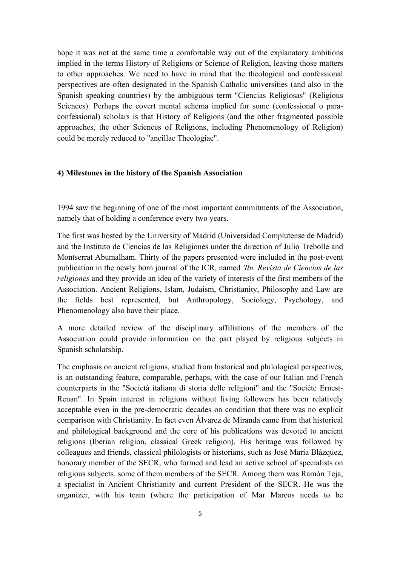hope it was not at the same time a comfortable way out of the explanatory ambitions implied in the terms History of Religions or Science of Religion, leaving those matters to other approaches. We need to have in mind that the theological and confessional perspectives are often designated in the Spanish Catholic universities (and also in the Spanish speaking countries) by the ambiguous term "Ciencias Religiosas" (Religious Sciences). Perhaps the covert mental schema implied for some (confessional o paraconfessional) scholars is that History of Religions (and the other fragmented possible approaches, the other Sciences of Religions, including Phenomenology of Religion) could be merely reduced to "ancillae Theologiae".

### **4) Milestones in the history of the Spanish Association**

1994 saw the beginning of one of the most important commitments of the Association, namely that of holding a conference every two years.

The first was hosted by the University of Madrid (Universidad Complutense de Madrid) and the Instituto de Ciencias de las Religiones under the direction of Julio Trebolle and Montserrat Abumalham. Thirty of the papers presented were included in the post-event publication in the newly born journal of the ICR, named *'Ilu. Revista de Ciencias de las religiones* and they provide an idea of the variety of interests of the first members of the Association. Ancient Religions, Islam, Judaism, Christianity, Philosophy and Law are the fields best represented, but Anthropology, Sociology, Psychology, and Phenomenology also have their place.

A more detailed review of the disciplinary affiliations of the members of the Association could provide information on the part played by religious subjects in Spanish scholarship.

The emphasis on ancient religions, studied from historical and philological perspectives, is an outstanding feature, comparable, perhaps, with the case of our Italian and French counterparts in the "Società italiana di storia delle religioni" and the "Société Ernest-Renan". In Spain interest in religions without living followers has been relatively acceptable even in the pre-democratic decades on condition that there was no explicit comparison with Christianity. In fact even Álvarez de Miranda came from that historical and philological background and the core of his publications was devoted to ancient religions (Iberian religion, classical Greek religion). His heritage was followed by colleagues and friends, classical philologists or historians, such as José María Blázquez, honorary member of the SECR, who formed and lead an active school of specialists on religious subjects, some of them members of the SECR. Among them was Ramón Teja, a specialist in Ancient Christianity and current President of the SECR. He was the organizer, with his team (where the participation of Mar Marcos needs to be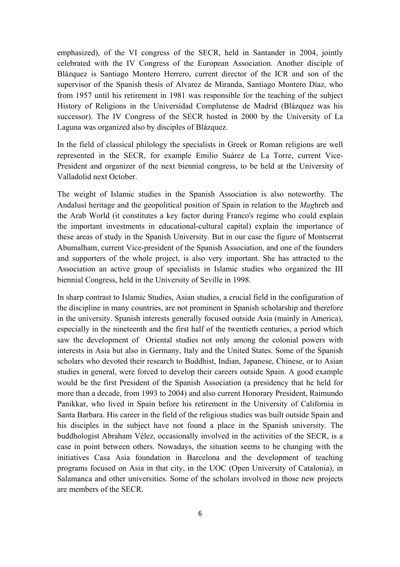emphasized), of the VI congress of the SECR, held in Santander in 2004, jointly celebrated with the IV Congress of the European Association. Another disciple of Blázquez is Santiago Montero Herrero, current director of the ICR and son of the supervisor of the Spanish thesis of Alvarez de Miranda, Santiago Montero Díaz, who from 1957 until his retirement in 1981 was responsible for the teaching of the subject History of Religions in the Universidad Complutense de Madrid (Blázquez was his successor). The IV Congress of the SECR hosted in 2000 by the University of La Laguna was organized also by disciples of Blázquez.

In the field of classical philology the specialists in Greek or Roman religions are well represented in the SECR, for example Emilio Suárez de La Torre, current Vice-President and organizer of the next biennial congress, to be held at the University of Valladolid next October.

The weight of Islamic studies in the Spanish Association is also noteworthy*.* The Andalusí heritage and the geopolitical position of Spain in relation to the *Mag*hreb and the Arab World (it constitutes a key factor during Franco's regime who could explain the important investments in educational-cultural capital) explain the importance of these areas of study in the Spanish University. But in our case the figure of Montserrat Abumalham, current Vice-president of the Spanish Association, and one of the founders and supporters of the whole project, is also very important. She has attracted to the Association an active group of specialists in Islamic studies who organized the III biennial Congress, held in the University of Seville in 1998.

In sharp contrast to Islamic Studies, Asian studies, a crucial field in the configuration of the discipline in many countries, are not prominent in Spanish scholarship and therefore in the university. Spanish interests generally focused outside Asia (mainly in America), especially in the nineteenth and the first half of the twentieth centuries, a period which saw the development of Oriental studies not only among the colonial powers with interests in Asia but also in Germany, Italy and the United States. Some of the Spanish scholars who devoted their research to Buddhist, Indian, Japanese, Chinese, or to Asian studies in general, were forced to develop their careers outside Spain. A good example would be the first President of the Spanish Association (a presidency that he held for more than a decade, from 1993 to 2004) and also current Honorary President, Raimundo Panikkar, who lived in Spain before his retirement in the University of California in Santa Barbara. His career in the field of the religious studies was built outside Spain and his disciples in the subject have not found a place in the Spanish university. The buddhologist Abraham Vélez, occasionally involved in the activities of the SECR, is a case in point between others. Nowadays, the situation seems to be changing with the initiatives Casa Asia foundation in Barcelona and the development of teaching programs focused on Asia in that city, in the UOC (Open University of Catalonia), in Salamanca and other universities. Some of the scholars involved in those new projects are members of the SECR.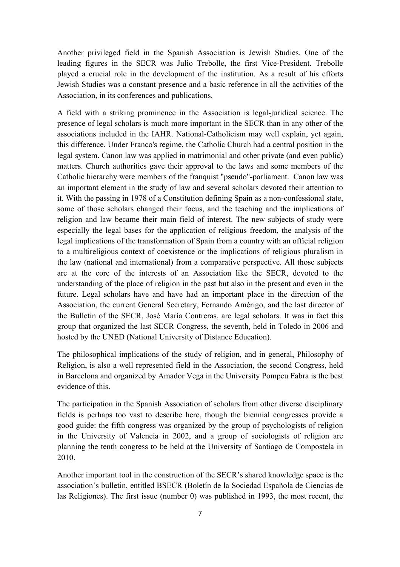Another privileged field in the Spanish Association is Jewish Studies. One of the leading figures in the SECR was Julio Trebolle, the first Vice-President. Trebolle played a crucial role in the development of the institution. As a result of his efforts Jewish Studies was a constant presence and a basic reference in all the activities of the Association, in its conferences and publications.

A field with a striking prominence in the Association is legal-juridical science. The presence of legal scholars is much more important in the SECR than in any other of the associations included in the IAHR. National-Catholicism may well explain, yet again, this difference. Under Franco's regime, the Catholic Church had a central position in the legal system. Canon law was applied in matrimonial and other private (and even public) matters. Church authorities gave their approval to the laws and some members of the Catholic hierarchy were members of the franquist "pseudo"-parliament. Canon law was an important element in the study of law and several scholars devoted their attention to it. With the passing in 1978 of a Constitution defining Spain as a non-confessional state, some of those scholars changed their focus, and the teaching and the implications of religion and law became their main field of interest. The new subjects of study were especially the legal bases for the application of religious freedom, the analysis of the legal implications of the transformation of Spain from a country with an official religion to a multireligious context of coexistence or the implications of religious pluralism in the law (national and international) from a comparative perspective. All those subjects are at the core of the interests of an Association like the SECR, devoted to the understanding of the place of religion in the past but also in the present and even in the future. Legal scholars have and have had an important place in the direction of the Association, the current General Secretary, Fernando Amérigo, and the last director of the Bulletin of the SECR, José María Contreras, are legal scholars. It was in fact this group that organized the last SECR Congress, the seventh, held in Toledo in 2006 and hosted by the UNED (National University of Distance Education).

The philosophical implications of the study of religion, and in general, Philosophy of Religion, is also a well represented field in the Association, the second Congress, held in Barcelona and organized by Amador Vega in the University Pompeu Fabra is the best evidence of this.

The participation in the Spanish Association of scholars from other diverse disciplinary fields is perhaps too vast to describe here, though the biennial congresses provide a good guide: the fifth congress was organized by the group of psychologists of religion in the University of Valencia in 2002, and a group of sociologists of religion are planning the tenth congress to be held at the University of Santiago de Compostela in 2010.

Another important tool in the construction of the SECR's shared knowledge space is the association's bulletin, entitled BSECR (Boletín de la Sociedad Española de Ciencias de las Religiones). The first issue (number 0) was published in 1993, the most recent, the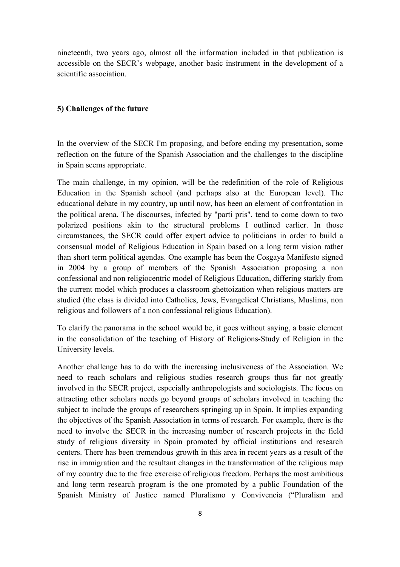nineteenth, two years ago, almost all the information included in that publication is accessible on the SECR's webpage, another basic instrument in the development of a scientific association.

#### **5) Challenges of the future**

In the overview of the SECR I'm proposing, and before ending my presentation, some reflection on the future of the Spanish Association and the challenges to the discipline in Spain seems appropriate.

The main challenge, in my opinion, will be the redefinition of the role of Religious Education in the Spanish school (and perhaps also at the European level). The educational debate in my country, up until now, has been an element of confrontation in the political arena. The discourses, infected by "parti pris", tend to come down to two polarized positions akin to the structural problems I outlined earlier. In those circumstances, the SECR could offer expert advice to politicians in order to build a consensual model of Religious Education in Spain based on a long term vision rather than short term political agendas. One example has been the Cosgaya Manifesto signed in 2004 by a group of members of the Spanish Association proposing a non confessional and non religiocentric model of Religious Education, differing starkly from the current model which produces a classroom ghettoization when religious matters are studied (the class is divided into Catholics, Jews, Evangelical Christians, Muslims, non religious and followers of a non confessional religious Education).

To clarify the panorama in the school would be, it goes without saying, a basic element in the consolidation of the teaching of History of Religions-Study of Religion in the University levels.

Another challenge has to do with the increasing inclusiveness of the Association. We need to reach scholars and religious studies research groups thus far not greatly involved in the SECR project, especially anthropologists and sociologists. The focus on attracting other scholars needs go beyond groups of scholars involved in teaching the subject to include the groups of researchers springing up in Spain. It implies expanding the objectives of the Spanish Association in terms of research. For example, there is the need to involve the SECR in the increasing number of research projects in the field study of religious diversity in Spain promoted by official institutions and research centers. There has been tremendous growth in this area in recent years as a result of the rise in immigration and the resultant changes in the transformation of the religious map of my country due to the free exercise of religious freedom. Perhaps the most ambitious and long term research program is the one promoted by a public Foundation of the Spanish Ministry of Justice named Pluralismo y Convivencia ("Pluralism and